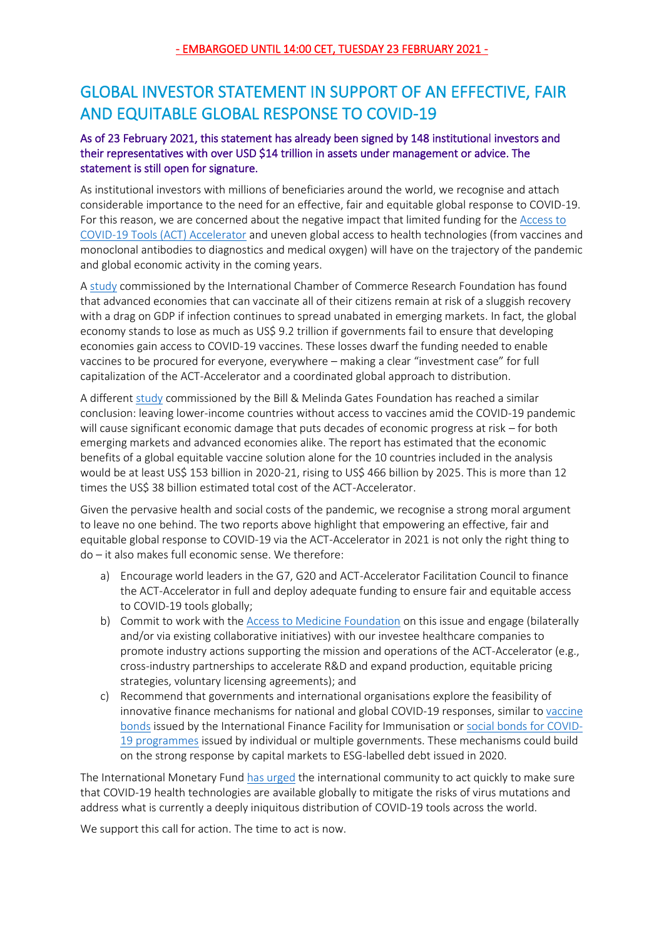## GLOBAL INVESTOR STATEMENT IN SUPPORT OF AN EFFECTIVE, FAIR AND EQUITABLE GLOBAL RESPONSE TO COVID-19

## As of 23 February 2021, this statement has already been signed by 148 institutional investors and their representatives with over USD \$14 trillion in assets under management or advice. The statement is still open for signature.

As institutional investors with millions of beneficiaries around the world, we recognise and attach considerable importance to the need for an effective, fair and equitable global response to COVID-19. For this reason, we are concerned about the negative impact that limited funding for the [Access to](https://www.who.int/initiatives/act-accelerator)  [COVID-19 Tools \(ACT\) Accelerator](https://www.who.int/initiatives/act-accelerator) and uneven global access to health technologies (from vaccines and monoclonal antibodies to diagnostics and medical oxygen) will have on the trajectory of the pandemic and global economic activity in the coming years.

[A study](https://iccwbo.org/media-wall/news-speeches/study-shows-vaccine-nationalism-could-cost-rich-countries-us4-5-trillion/) commissioned by the International Chamber of Commerce Research Foundation has found that advanced economies that can vaccinate all of their citizens remain at risk of a sluggish recovery with a drag on GDP if infection continues to spread unabated in emerging markets. In fact, the global economy stands to lose as much as US\$ 9.2 trillion if governments fail to ensure that developing economies gain access to COVID-19 vaccines. These losses dwarf the funding needed to enable vaccines to be procured for everyone, everywhere – making a clear "investment case" for full capitalization of the ACT-Accelerator and a coordinated global approach to distribution.

A different [study](https://www.who.int/news/item/03-12-2020-global-access-to-covid-19-vaccines-estimated-to-generate-economic-benefits-of-at-least-153-billion-in-2020-21) commissioned by the Bill & Melinda Gates Foundation has reached a similar conclusion: leaving lower-income countries without access to vaccines amid the COVID-19 pandemic will cause significant economic damage that puts decades of economic progress at risk – for both emerging markets and advanced economies alike. The report has estimated that the economic benefits of a global equitable vaccine solution alone for the 10 countries included in the analysis would be at least US\$ 153 billion in 2020-21, rising to US\$ 466 billion by 2025. This is more than 12 times the US\$ 38 billion estimated total cost of the ACT-Accelerator.

Given the pervasive health and social costs of the pandemic, we recognise a strong moral argument to leave no one behind. The two reports above highlight that empowering an effective, fair and equitable global response to COVID-19 via the ACT-Accelerator in 2021 is not only the right thing to do – it also makes full economic sense. We therefore:

- a) Encourage world leaders in the G7, G20 and ACT-Accelerator Facilitation Council to finance the ACT-Accelerator in full and deploy adequate funding to ensure fair and equitable access to COVID-19 tools globally;
- b) Commit to work with the [Access to Medicine Foundation](https://accesstomedicinefoundation.org/about-us/how-we-work-with-investors) on this issue and engage (bilaterally and/or via existing collaborative initiatives) with our investee healthcare companies to promote industry actions supporting the mission and operations of the ACT-Accelerator (e.g., cross-industry partnerships to accelerate R&D and expand production, equitable pricing strategies, voluntary licensing agreements); and
- c) Recommend that governments and international organisations explore the feasibility of innovative finance mechanisms for national and global COVID-19 responses, similar to [vaccine](https://www.gavi.org/investing-gavi/innovative-financing/iffim)  [bonds](https://www.gavi.org/investing-gavi/innovative-financing/iffim) issued by the International Finance Facility for Immunisation or [social bonds for COVID-](https://www.icmagroup.org/assets/documents/Regulatory/Green-Bonds/Social-Bonds-Covid-QA310320.pdf)[19 programmes](https://www.icmagroup.org/assets/documents/Regulatory/Green-Bonds/Social-Bonds-Covid-QA310320.pdf) issued by individual or multiple governments. These mechanisms could build on the strong response by capital markets to ESG-labelled debt issued in 2020.

The International Monetary Fun[d has urged](https://www.imf.org/en/News/Articles/2021/01/28/tr012621-transcript-of-the-world-economic-outlook-update-press-briefing) the international community to act quickly to make sure that COVID-19 health technologies are available globally to mitigate the risks of virus mutations and address what is currently a deeply iniquitous distribution of COVID-19 tools across the world.

We support this call for action. The time to act is now.